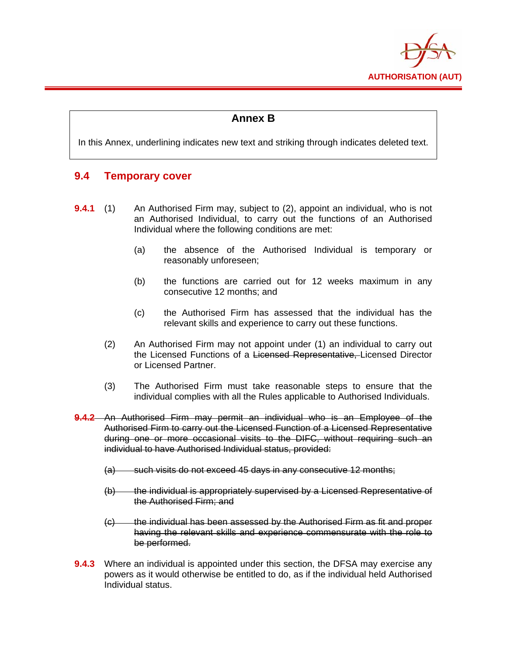

# **Annex B**

In this Annex, underlining indicates new text and striking through indicates deleted text.

# **9.4 Temporary cover**

- **9.4.1** (1) An Authorised Firm may, subject to (2), appoint an individual, who is not an Authorised Individual, to carry out the functions of an Authorised Individual where the following conditions are met:
	- (a) the absence of the Authorised Individual is temporary or reasonably unforeseen;
	- (b) the functions are carried out for 12 weeks maximum in any consecutive 12 months; and
	- (c) the Authorised Firm has assessed that the individual has the relevant skills and experience to carry out these functions.
	- (2) An Authorised Firm may not appoint under (1) an individual to carry out the Licensed Functions of a Licensed Representative, Licensed Director or Licensed Partner.
	- (3) The Authorised Firm must take reasonable steps to ensure that the individual complies with all the Rules applicable to Authorised Individuals.
- **9.4.2** An Authorised Firm may permit an individual who is an Employee of the Authorised Firm to carry out the Licensed Function of a Licensed Representative during one or more occasional visits to the DIFC, without requiring such an individual to have Authorised Individual status, provided:
	- (a) such visits do not exceed 45 days in any consecutive 12 months;
	- (b) the individual is appropriately supervised by a Licensed Representative of the Authorised Firm; and
	- (c) the individual has been assessed by the Authorised Firm as fit and proper having the relevant skills and experience commensurate with the role to be performed.
- **9.4.3** Where an individual is appointed under this section, the DFSA may exercise any powers as it would otherwise be entitled to do, as if the individual held Authorised Individual status.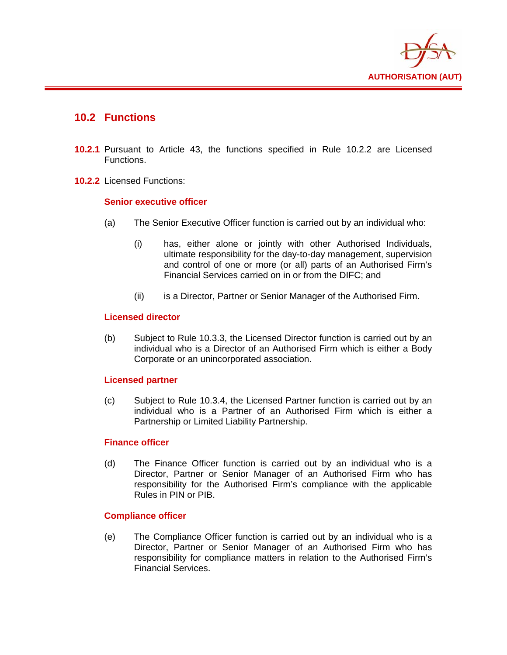

# **10.2 Functions**

- **10.2.1** Pursuant to Article 43, the functions specified in Rule 10.2.2 are Licensed Functions.
- **10.2.2** Licensed Functions:

### **Senior executive officer**

- (a) The Senior Executive Officer function is carried out by an individual who:
	- (i) has, either alone or jointly with other Authorised Individuals, ultimate responsibility for the day-to-day management, supervision and control of one or more (or all) parts of an Authorised Firm's Financial Services carried on in or from the DIFC; and
	- (ii) is a Director, Partner or Senior Manager of the Authorised Firm.

#### **Licensed director**

(b) Subject to Rule 10.3.3, the Licensed Director function is carried out by an individual who is a Director of an Authorised Firm which is either a Body Corporate or an unincorporated association.

### **Licensed partner**

(c) Subject to Rule 10.3.4, the Licensed Partner function is carried out by an individual who is a Partner of an Authorised Firm which is either a Partnership or Limited Liability Partnership.

#### **Finance officer**

(d) The Finance Officer function is carried out by an individual who is a Director, Partner or Senior Manager of an Authorised Firm who has responsibility for the Authorised Firm's compliance with the applicable Rules in PIN or PIB.

### **Compliance officer**

(e) The Compliance Officer function is carried out by an individual who is a Director, Partner or Senior Manager of an Authorised Firm who has responsibility for compliance matters in relation to the Authorised Firm's Financial Services.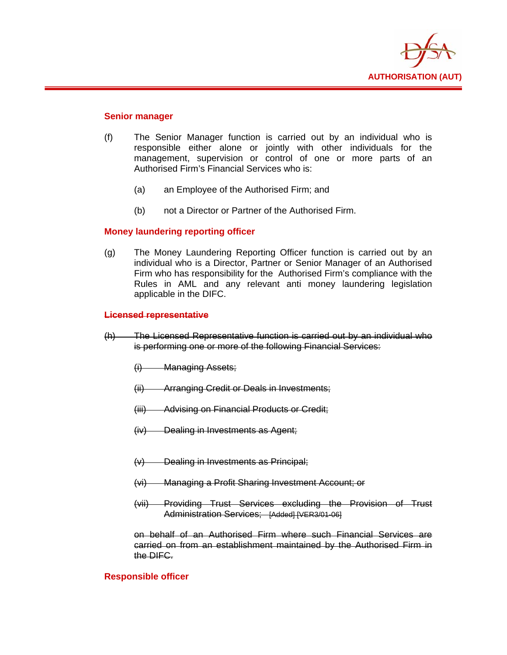

#### **Senior manager**

- (f) The Senior Manager function is carried out by an individual who is responsible either alone or jointly with other individuals for the management, supervision or control of one or more parts of an Authorised Firm's Financial Services who is:
	- (a) an Employee of the Authorised Firm; and
	- (b) not a Director or Partner of the Authorised Firm.

#### **Money laundering reporting officer**

(g) The Money Laundering Reporting Officer function is carried out by an individual who is a Director, Partner or Senior Manager of an Authorised Firm who has responsibility for the Authorised Firm's compliance with the Rules in AML and any relevant anti money laundering legislation applicable in the DIFC.

#### **Licensed representative**

- (h) The Licensed Representative function is carried out by an individual who is performing one or more of the following Financial Services:
	- (i) Managing Assets;
	- (ii) Arranging Credit or Deals in Investments;
	- (iii) Advising on Financial Products or Credit;
	- (iv) Dealing in Investments as Agent;
	- (v) Dealing in Investments as Principal;
	- (vi) Managing a Profit Sharing Investment Account; or
	- (vii) Providing Trust Services excluding the Provision of Trust Administration Services; [Added] [VER3/01-06]

on behalf of an Authorised Firm where such Financial Services are carried on from an establishment maintained by the Authorised Firm in the DIFC.

#### **Responsible officer**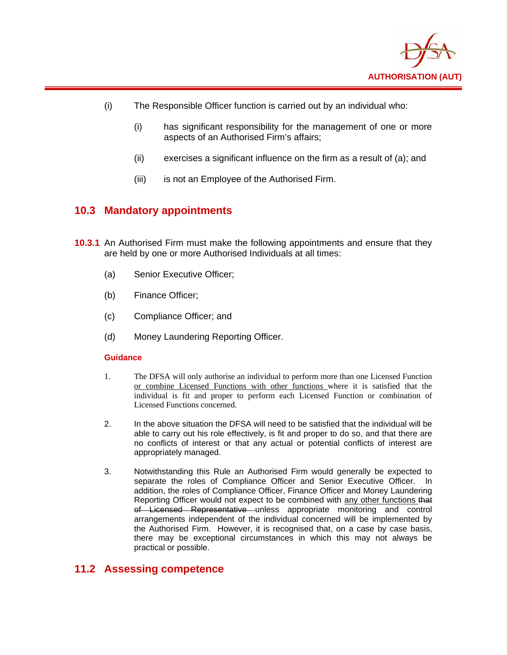

- (i) The Responsible Officer function is carried out by an individual who:
	- (i) has significant responsibility for the management of one or more aspects of an Authorised Firm's affairs;
	- (ii) exercises a significant influence on the firm as a result of (a); and
	- (iii) is not an Employee of the Authorised Firm.

## **10.3 Mandatory appointments**

- **10.3.1** An Authorised Firm must make the following appointments and ensure that they are held by one or more Authorised Individuals at all times:
	- (a) Senior Executive Officer;
	- (b) Finance Officer;
	- (c) Compliance Officer; and
	- (d) Money Laundering Reporting Officer.

#### **Guidance**

- 1. The DFSA will only authorise an individual to perform more than one Licensed Function or combine Licensed Functions with other functions where it is satisfied that the individual is fit and proper to perform each Licensed Function or combination of Licensed Functions concerned.
- 2. In the above situation the DFSA will need to be satisfied that the individual will be able to carry out his role effectively, is fit and proper to do so, and that there are no conflicts of interest or that any actual or potential conflicts of interest are appropriately managed.
- 3. Notwithstanding this Rule an Authorised Firm would generally be expected to separate the roles of Compliance Officer and Senior Executive Officer. In addition, the roles of Compliance Officer, Finance Officer and Money Laundering Reporting Officer would not expect to be combined with any other functions that of Licensed Representative unless appropriate monitoring and control arrangements independent of the individual concerned will be implemented by the Authorised Firm. However, it is recognised that, on a case by case basis, there may be exceptional circumstances in which this may not always be practical or possible.

## **11.2 Assessing competence**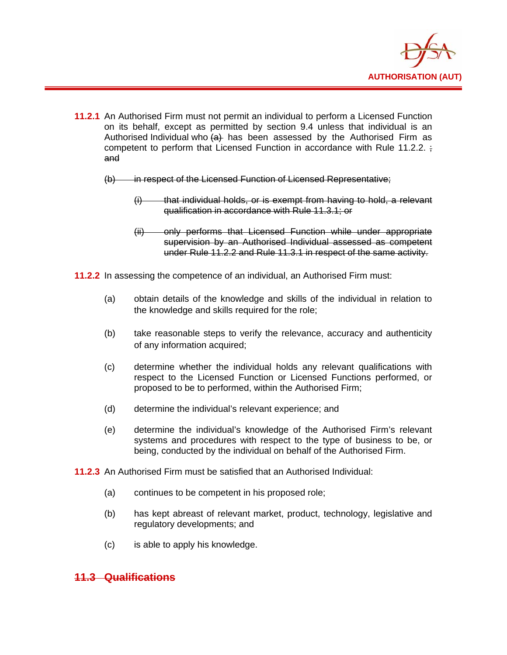

- **11.2.1** An Authorised Firm must not permit an individual to perform a Licensed Function on its behalf, except as permitted by section 9.4 unless that individual is an Authorised Individual who  $\left( a \right)$  has been assessed by the Authorised Firm as competent to perform that Licensed Function in accordance with Rule 11.2.2. ; and
	- (b) in respect of the Licensed Function of Licensed Representative:
		- $(i)$  that individual holds, or is exempt from having to hold, a relevant qualification in accordance with Rule 11.3.1; or
		- (ii) only performs that Licensed Function while under appropriate supervision by an Authorised Individual assessed as competent under Rule 11.2.2 and Rule 11.3.1 in respect of the same activity.

**11.2.2** In assessing the competence of an individual, an Authorised Firm must:

- (a) obtain details of the knowledge and skills of the individual in relation to the knowledge and skills required for the role;
- (b) take reasonable steps to verify the relevance, accuracy and authenticity of any information acquired;
- (c) determine whether the individual holds any relevant qualifications with respect to the Licensed Function or Licensed Functions performed, or proposed to be to performed, within the Authorised Firm;
- (d) determine the individual's relevant experience; and
- (e) determine the individual's knowledge of the Authorised Firm's relevant systems and procedures with respect to the type of business to be, or being, conducted by the individual on behalf of the Authorised Firm.
- **11.2.3** An Authorised Firm must be satisfied that an Authorised Individual:
	- (a) continues to be competent in his proposed role;
	- (b) has kept abreast of relevant market, product, technology, legislative and regulatory developments; and
	- (c) is able to apply his knowledge.

## **11.3 Qualifications**